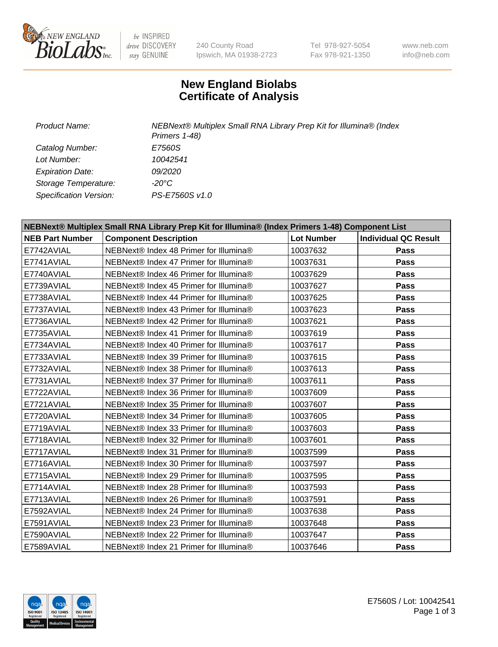

 $be$  INSPIRED drive DISCOVERY stay GENUINE

240 County Road Ipswich, MA 01938-2723 Tel 978-927-5054 Fax 978-921-1350 www.neb.com info@neb.com

## **New England Biolabs Certificate of Analysis**

| Product Name:           | NEBNext® Multiplex Small RNA Library Prep Kit for Illumina® (Index<br>Primers 1-48) |
|-------------------------|-------------------------------------------------------------------------------------|
| Catalog Number:         | E7560S                                                                              |
| Lot Number:             | 10042541                                                                            |
| <b>Expiration Date:</b> | <i>09/2020</i>                                                                      |
| Storage Temperature:    | -20°C                                                                               |
| Specification Version:  | PS-E7560S v1.0                                                                      |

| NEBNext® Multiplex Small RNA Library Prep Kit for Illumina® (Index Primers 1-48) Component List |                                        |                   |                             |  |
|-------------------------------------------------------------------------------------------------|----------------------------------------|-------------------|-----------------------------|--|
| <b>NEB Part Number</b>                                                                          | <b>Component Description</b>           | <b>Lot Number</b> | <b>Individual QC Result</b> |  |
| E7742AVIAL                                                                                      | NEBNext® Index 48 Primer for Illumina® | 10037632          | <b>Pass</b>                 |  |
| E7741AVIAL                                                                                      | NEBNext® Index 47 Primer for Illumina® | 10037631          | <b>Pass</b>                 |  |
| E7740AVIAL                                                                                      | NEBNext® Index 46 Primer for Illumina® | 10037629          | <b>Pass</b>                 |  |
| E7739AVIAL                                                                                      | NEBNext® Index 45 Primer for Illumina® | 10037627          | <b>Pass</b>                 |  |
| E7738AVIAL                                                                                      | NEBNext® Index 44 Primer for Illumina® | 10037625          | <b>Pass</b>                 |  |
| E7737AVIAL                                                                                      | NEBNext® Index 43 Primer for Illumina® | 10037623          | Pass                        |  |
| E7736AVIAL                                                                                      | NEBNext® Index 42 Primer for Illumina® | 10037621          | <b>Pass</b>                 |  |
| E7735AVIAL                                                                                      | NEBNext® Index 41 Primer for Illumina® | 10037619          | Pass                        |  |
| E7734AVIAL                                                                                      | NEBNext® Index 40 Primer for Illumina® | 10037617          | <b>Pass</b>                 |  |
| E7733AVIAL                                                                                      | NEBNext® Index 39 Primer for Illumina® | 10037615          | <b>Pass</b>                 |  |
| E7732AVIAL                                                                                      | NEBNext® Index 38 Primer for Illumina® | 10037613          | <b>Pass</b>                 |  |
| E7731AVIAL                                                                                      | NEBNext® Index 37 Primer for Illumina® | 10037611          | <b>Pass</b>                 |  |
| E7722AVIAL                                                                                      | NEBNext® Index 36 Primer for Illumina® | 10037609          | <b>Pass</b>                 |  |
| E7721AVIAL                                                                                      | NEBNext® Index 35 Primer for Illumina® | 10037607          | <b>Pass</b>                 |  |
| E7720AVIAL                                                                                      | NEBNext® Index 34 Primer for Illumina® | 10037605          | <b>Pass</b>                 |  |
| E7719AVIAL                                                                                      | NEBNext® Index 33 Primer for Illumina® | 10037603          | <b>Pass</b>                 |  |
| E7718AVIAL                                                                                      | NEBNext® Index 32 Primer for Illumina® | 10037601          | <b>Pass</b>                 |  |
| E7717AVIAL                                                                                      | NEBNext® Index 31 Primer for Illumina® | 10037599          | <b>Pass</b>                 |  |
| E7716AVIAL                                                                                      | NEBNext® Index 30 Primer for Illumina® | 10037597          | <b>Pass</b>                 |  |
| E7715AVIAL                                                                                      | NEBNext® Index 29 Primer for Illumina® | 10037595          | <b>Pass</b>                 |  |
| E7714AVIAL                                                                                      | NEBNext® Index 28 Primer for Illumina® | 10037593          | <b>Pass</b>                 |  |
| E7713AVIAL                                                                                      | NEBNext® Index 26 Primer for Illumina® | 10037591          | Pass                        |  |
| E7592AVIAL                                                                                      | NEBNext® Index 24 Primer for Illumina® | 10037638          | <b>Pass</b>                 |  |
| E7591AVIAL                                                                                      | NEBNext® Index 23 Primer for Illumina® | 10037648          | <b>Pass</b>                 |  |
| E7590AVIAL                                                                                      | NEBNext® Index 22 Primer for Illumina® | 10037647          | <b>Pass</b>                 |  |
| E7589AVIAL                                                                                      | NEBNext® Index 21 Primer for Illumina® | 10037646          | Pass                        |  |

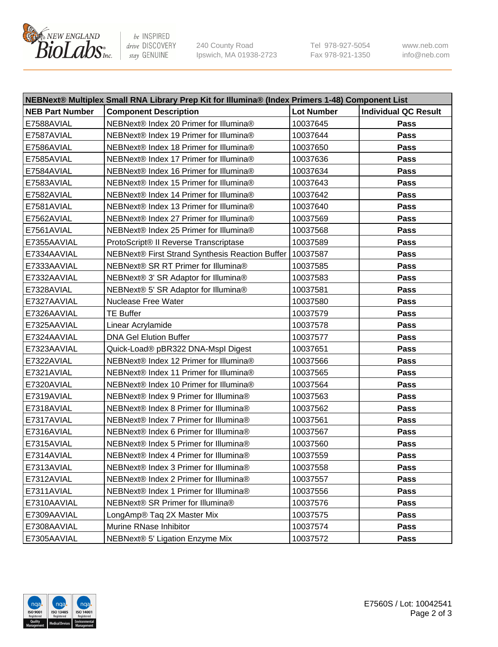

be INSPIRED drive DISCOVERY stay GENUINE

240 County Road Ipswich, MA 01938-2723 Tel 978-927-5054 Fax 978-921-1350 www.neb.com info@neb.com

| NEBNext® Multiplex Small RNA Library Prep Kit for Illumina® (Index Primers 1-48) Component List |                                                            |                   |                             |
|-------------------------------------------------------------------------------------------------|------------------------------------------------------------|-------------------|-----------------------------|
| <b>NEB Part Number</b>                                                                          | <b>Component Description</b>                               | <b>Lot Number</b> | <b>Individual QC Result</b> |
| E7588AVIAL                                                                                      | NEBNext® Index 20 Primer for Illumina®                     | 10037645          | Pass                        |
| E7587AVIAL                                                                                      | NEBNext® Index 19 Primer for Illumina®                     | 10037644          | Pass                        |
| E7586AVIAL                                                                                      | NEBNext® Index 18 Primer for Illumina®                     | 10037650          | Pass                        |
| E7585AVIAL                                                                                      | NEBNext® Index 17 Primer for Illumina®                     | 10037636          | Pass                        |
| E7584AVIAL                                                                                      | NEBNext® Index 16 Primer for Illumina®                     | 10037634          | Pass                        |
| E7583AVIAL                                                                                      | NEBNext® Index 15 Primer for Illumina®                     | 10037643          | Pass                        |
| E7582AVIAL                                                                                      | NEBNext® Index 14 Primer for Illumina®                     | 10037642          | Pass                        |
| E7581AVIAL                                                                                      | NEBNext® Index 13 Primer for Illumina®                     | 10037640          | Pass                        |
| E7562AVIAL                                                                                      | NEBNext® Index 27 Primer for Illumina®                     | 10037569          | Pass                        |
| E7561AVIAL                                                                                      | NEBNext® Index 25 Primer for Illumina®                     | 10037568          | Pass                        |
| E7355AAVIAL                                                                                     | ProtoScript® II Reverse Transcriptase                      | 10037589          | Pass                        |
| E7334AAVIAL                                                                                     | NEBNext® First Strand Synthesis Reaction Buffer   10037587 |                   | Pass                        |
| E7333AAVIAL                                                                                     | NEBNext® SR RT Primer for Illumina®                        | 10037585          | Pass                        |
| E7332AAVIAL                                                                                     | NEBNext® 3' SR Adaptor for Illumina®                       | 10037583          | Pass                        |
| E7328AVIAL                                                                                      | NEBNext® 5' SR Adaptor for Illumina®                       | 10037581          | Pass                        |
| E7327AAVIAL                                                                                     | <b>Nuclease Free Water</b>                                 | 10037580          | Pass                        |
| E7326AAVIAL                                                                                     | <b>TE Buffer</b>                                           | 10037579          | Pass                        |
| E7325AAVIAL                                                                                     | Linear Acrylamide                                          | 10037578          | Pass                        |
| E7324AAVIAL                                                                                     | <b>DNA Gel Elution Buffer</b>                              | 10037577          | Pass                        |
| E7323AAVIAL                                                                                     | Quick-Load® pBR322 DNA-Mspl Digest                         | 10037651          | Pass                        |
| E7322AVIAL                                                                                      | NEBNext® Index 12 Primer for Illumina®                     | 10037566          | Pass                        |
| E7321AVIAL                                                                                      | NEBNext® Index 11 Primer for Illumina®                     | 10037565          | Pass                        |
| E7320AVIAL                                                                                      | NEBNext® Index 10 Primer for Illumina®                     | 10037564          | Pass                        |
| E7319AVIAL                                                                                      | NEBNext® Index 9 Primer for Illumina®                      | 10037563          | Pass                        |
| E7318AVIAL                                                                                      | NEBNext® Index 8 Primer for Illumina®                      | 10037562          | Pass                        |
| E7317AVIAL                                                                                      | NEBNext® Index 7 Primer for Illumina®                      | 10037561          | Pass                        |
| E7316AVIAL                                                                                      | NEBNext® Index 6 Primer for Illumina®                      | 10037567          | Pass                        |
| E7315AVIAL                                                                                      | NEBNext® Index 5 Primer for Illumina®                      | 10037560          | Pass                        |
| E7314AVIAL                                                                                      | NEBNext® Index 4 Primer for Illumina®                      | 10037559          | <b>Pass</b>                 |
| E7313AVIAL                                                                                      | NEBNext® Index 3 Primer for Illumina®                      | 10037558          | Pass                        |
| E7312AVIAL                                                                                      | NEBNext® Index 2 Primer for Illumina®                      | 10037557          | <b>Pass</b>                 |
| E7311AVIAL                                                                                      | NEBNext® Index 1 Primer for Illumina®                      | 10037556          | Pass                        |
| E7310AAVIAL                                                                                     | NEBNext® SR Primer for Illumina®                           | 10037576          | Pass                        |
| E7309AAVIAL                                                                                     | LongAmp® Taq 2X Master Mix                                 | 10037575          | Pass                        |
| E7308AAVIAL                                                                                     | Murine RNase Inhibitor                                     | 10037574          | Pass                        |
| E7305AAVIAL                                                                                     | NEBNext® 5' Ligation Enzyme Mix                            | 10037572          | Pass                        |